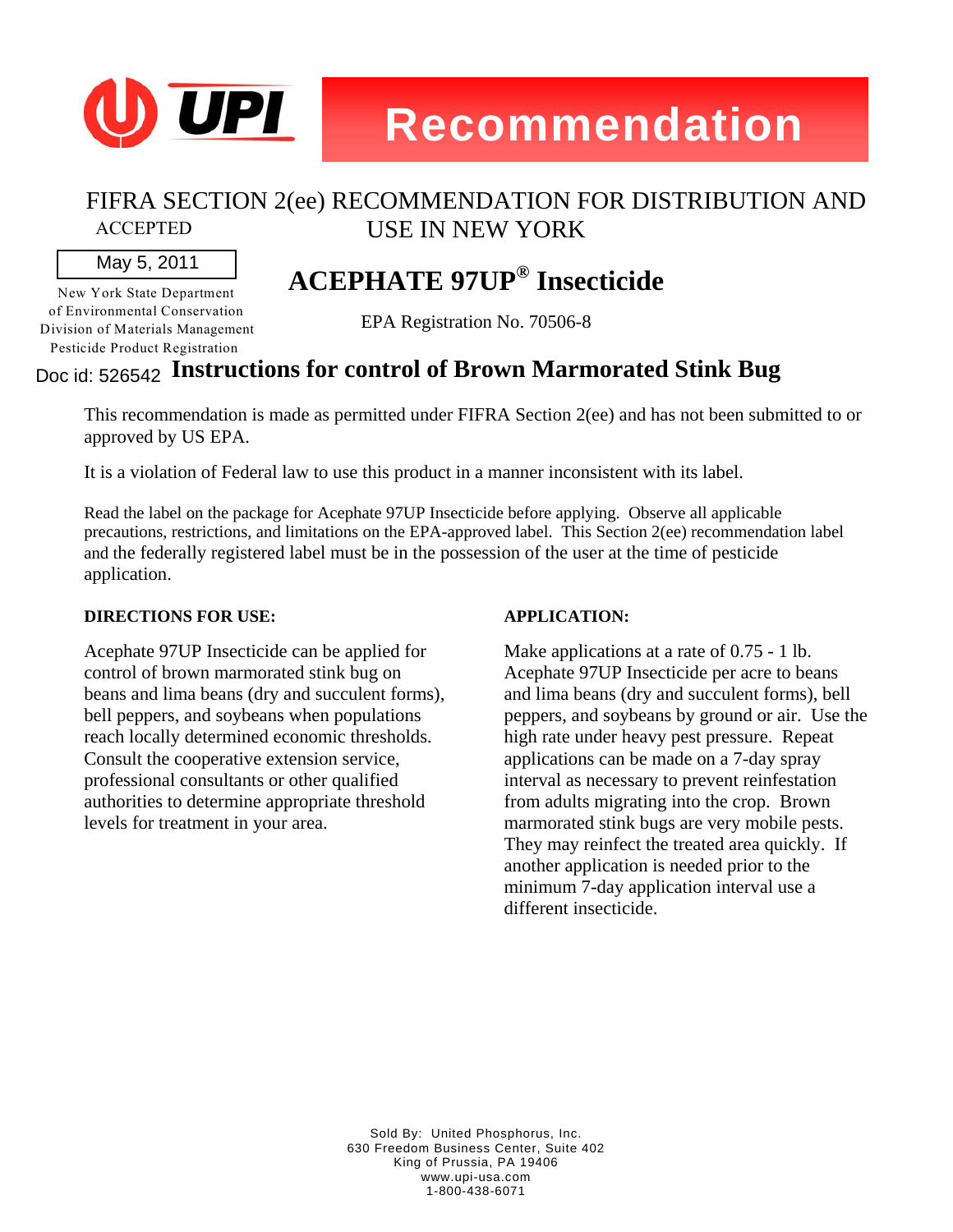

#### FIFRA SECTION 2(ee) RECOMMENDATION FOR DISTRIBUTION AND USE IN NEW YORK ACCEPTED

### May 5, 2011

New York State Department of Environmental Conservation Division of Materials Management Pesticide Product Registration

## **ACEPHATE 97UP® Insecticide**

EPA Registration No. 70506-8

### **Instructions for control of Brown Marmorated Stink Bug**  Doc id: 526542

This recommendation is made as permitted under FIFRA Section 2(ee) and has not been submitted to or approved by US EPA.

It is a violation of Federal law to use this product in a manner inconsistent with its label.

Read the label on the package for Acephate 97UP Insecticide before applying. Observe all applicable precautions, restrictions, and limitations on the EPA-approved label. This Section 2(ee) recommendation label and the federally registered label must be in the possession of the user at the time of pesticide application.

### **DIRECTIONS FOR USE:**

Acephate 97UP Insecticide can be applied for control of brown marmorated stink bug on beans and lima beans (dry and succulent forms), bell peppers, and soybeans when populations reach locally determined economic thresholds. Consult the cooperative extension service, professional consultants or other qualified authorities to determine appropriate threshold levels for treatment in your area.

### **APPLICATION:**

Make applications at a rate of 0.75 - 1 lb. Acephate 97UP Insecticide per acre to beans and lima beans (dry and succulent forms), bell peppers, and soybeans by ground or air. Use the high rate under heavy pest pressure. Repeat applications can be made on a 7-day spray interval as necessary to prevent reinfestation from adults migrating into the crop. Brown marmorated stink bugs are very mobile pests. They may reinfect the treated area quickly. If another application is needed prior to the minimum 7-day application interval use a different insecticide.

Sold By: United Phosphorus, Inc. 630 Freedom Business Center, Suite 402 King of Prussia, PA 19406 www.upi-usa.com 1-800-438-6071